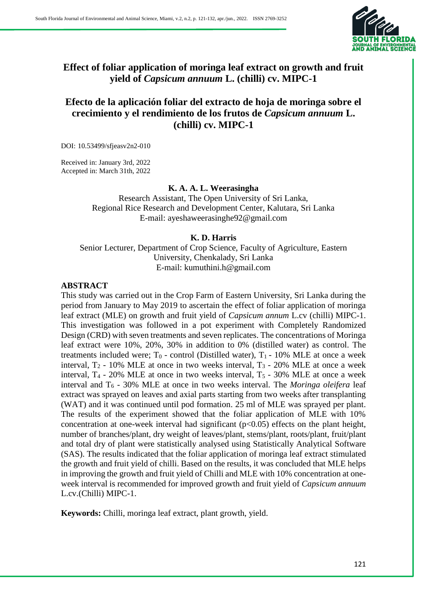

# **Effect of foliar application of moringa leaf extract on growth and fruit yield of** *Capsicum annuum* **L. (chilli) cv. MIPC-1**

# **Efecto de la aplicación foliar del extracto de hoja de moringa sobre el crecimiento y el rendimiento de los frutos de** *Capsicum annuum* **L. (chilli) cv. MIPC-1**

DOI: 10.53499/sfjeasv2n2-010

Received in: January 3rd, 2022 Accepted in: March 31th, 2022

## **K. A. A. L. Weerasingha**

Research Assistant, The Open University of Sri Lanka, Regional Rice Research and Development Center, Kalutara, Sri Lanka E-mail: ayeshaweerasinghe92@gmail.com

## **K. D. Harris**

Senior Lecturer, Department of Crop Science, Faculty of Agriculture, Eastern University, Chenkalady, Sri Lanka E-mail: kumuthini.h@gmail.com

## **ABSTRACT**

This study was carried out in the Crop Farm of Eastern University, Sri Lanka during the period from January to May 2019 to ascertain the effect of foliar application of moringa leaf extract (MLE) on growth and fruit yield of *Capsicum annum* L.cv (chilli) MIPC-1. This investigation was followed in a pot experiment with Completely Randomized Design (CRD) with seven treatments and seven replicates. The concentrations of Moringa leaf extract were 10%, 20%, 30% in addition to 0% (distilled water) as control. The treatments included were;  $T_0$  - control (Distilled water),  $T_1$  - 10% MLE at once a week interval,  $T_2$  - 10% MLE at once in two weeks interval,  $T_3$  - 20% MLE at once a week interval,  $T_4$  - 20% MLE at once in two weeks interval,  $T_5$  - 30% MLE at once a week interval and T<sup>6</sup> - 30% MLE at once in two weeks interval. The *Moringa oleifera* leaf extract was sprayed on leaves and axial parts starting from two weeks after transplanting (WAT) and it was continued until pod formation. 25 ml of MLE was sprayed per plant. The results of the experiment showed that the foliar application of MLE with 10% concentration at one-week interval had significant  $(p<0.05)$  effects on the plant height, number of branches/plant, dry weight of leaves/plant, stems/plant, roots/plant, fruit/plant and total dry of plant were statistically analysed using Statistically Analytical Software (SAS). The results indicated that the foliar application of moringa leaf extract stimulated the growth and fruit yield of chilli. Based on the results, it was concluded that MLE helps in improving the growth and fruit yield of Chilli and MLE with 10% concentration at oneweek interval is recommended for improved growth and fruit yield of *Capsicum annuum* L.cv.(Chilli) MIPC-1.

**Keywords:** Chilli, moringa leaf extract, plant growth, yield.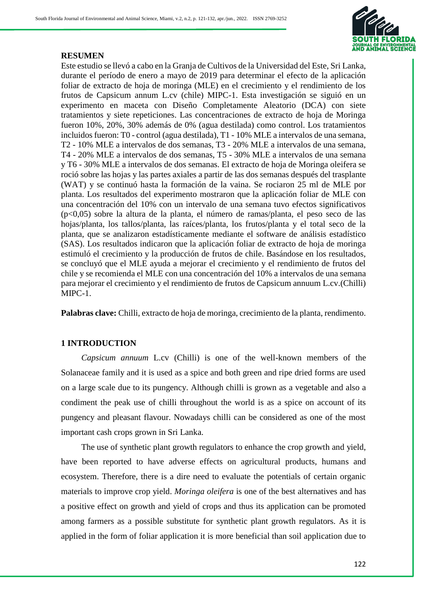

### **RESUMEN**

Este estudio se llevó a cabo en la Granja de Cultivos de la Universidad del Este, Sri Lanka, durante el período de enero a mayo de 2019 para determinar el efecto de la aplicación foliar de extracto de hoja de moringa (MLE) en el crecimiento y el rendimiento de los frutos de Capsicum annum L.cv (chile) MIPC-1. Esta investigación se siguió en un experimento en maceta con Diseño Completamente Aleatorio (DCA) con siete tratamientos y siete repeticiones. Las concentraciones de extracto de hoja de Moringa fueron 10%, 20%, 30% además de 0% (agua destilada) como control. Los tratamientos incluidos fueron: T0 - control (agua destilada), T1 - 10% MLE a intervalos de una semana, T2 - 10% MLE a intervalos de dos semanas, T3 - 20% MLE a intervalos de una semana, T4 - 20% MLE a intervalos de dos semanas, T5 - 30% MLE a intervalos de una semana y T6 - 30% MLE a intervalos de dos semanas. El extracto de hoja de Moringa oleifera se roció sobre las hojas y las partes axiales a partir de las dos semanas después del trasplante (WAT) y se continuó hasta la formación de la vaina. Se rociaron 25 ml de MLE por planta. Los resultados del experimento mostraron que la aplicación foliar de MLE con una concentración del 10% con un intervalo de una semana tuvo efectos significativos (p<0,05) sobre la altura de la planta, el número de ramas/planta, el peso seco de las hojas/planta, los tallos/planta, las raíces/planta, los frutos/planta y el total seco de la planta, que se analizaron estadísticamente mediante el software de análisis estadístico (SAS). Los resultados indicaron que la aplicación foliar de extracto de hoja de moringa estimuló el crecimiento y la producción de frutos de chile. Basándose en los resultados, se concluyó que el MLE ayuda a mejorar el crecimiento y el rendimiento de frutos del chile y se recomienda el MLE con una concentración del 10% a intervalos de una semana para mejorar el crecimiento y el rendimiento de frutos de Capsicum annuum L.cv.(Chilli) MIPC-1.

**Palabras clave:** Chilli, extracto de hoja de moringa, crecimiento de la planta, rendimento.

# **1 INTRODUCTION**

*Capsicum annuum* L.cv (Chilli) is one of the well-known members of the Solanaceae family and it is used as a spice and both green and ripe dried forms are used on a large scale due to its pungency. Although chilli is grown as a vegetable and also a condiment the peak use of chilli throughout the world is as a spice on account of its pungency and pleasant flavour. Nowadays chilli can be considered as one of the most important cash crops grown in Sri Lanka.

The use of synthetic plant growth regulators to enhance the crop growth and yield, have been reported to have adverse effects on agricultural products, humans and ecosystem. Therefore, there is a dire need to evaluate the potentials of certain organic materials to improve crop yield. *Moringa oleifera* is one of the best alternatives and has a positive effect on growth and yield of crops and thus its application can be promoted among farmers as a possible substitute for synthetic plant growth regulators. As it is applied in the form of foliar application it is more beneficial than soil application due to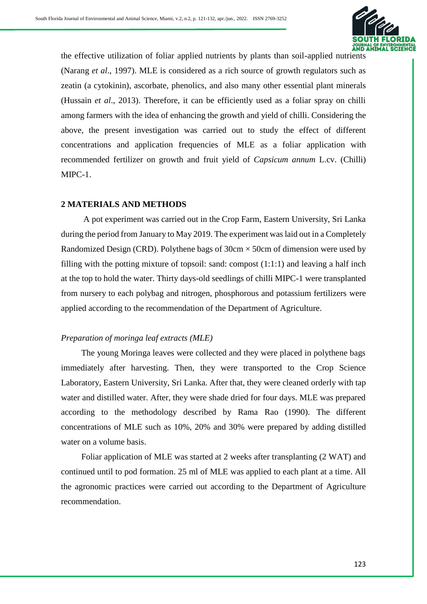

the effective utilization of foliar applied nutrients by plants than soil-applied nutrients (Narang *et al*., 1997). MLE is considered as a rich source of growth regulators such as zeatin (a cytokinin), ascorbate, phenolics, and also many other essential plant minerals (Hussain *et al*., 2013). Therefore, it can be efficiently used as a foliar spray on chilli among farmers with the idea of enhancing the growth and yield of chilli. Considering the above, the present investigation was carried out to study the effect of different concentrations and application frequencies of MLE as a foliar application with recommended fertilizer on growth and fruit yield of *Capsicum annum* L.cv. (Chilli) MIPC-1.

## **2 MATERIALS AND METHODS**

A pot experiment was carried out in the Crop Farm, Eastern University, Sri Lanka during the period from January to May 2019. The experiment was laid out in a Completely Randomized Design (CRD). Polythene bags of  $30 \text{cm} \times 50 \text{cm}$  of dimension were used by filling with the potting mixture of topsoil: sand: compost  $(1:1:1)$  and leaving a half inch at the top to hold the water. Thirty days-old seedlings of chilli MIPC-1 were transplanted from nursery to each polybag and nitrogen, phosphorous and potassium fertilizers were applied according to the recommendation of the Department of Agriculture.

# *Preparation of moringa leaf extracts (MLE)*

The young Moringa leaves were collected and they were placed in polythene bags immediately after harvesting. Then, they were transported to the Crop Science Laboratory, Eastern University, Sri Lanka. After that, they were cleaned orderly with tap water and distilled water. After, they were shade dried for four days. MLE was prepared according to the methodology described by Rama Rao (1990). The different concentrations of MLE such as 10%, 20% and 30% were prepared by adding distilled water on a volume basis.

Foliar application of MLE was started at 2 weeks after transplanting (2 WAT) and continued until to pod formation. 25 ml of MLE was applied to each plant at a time. All the agronomic practices were carried out according to the Department of Agriculture recommendation.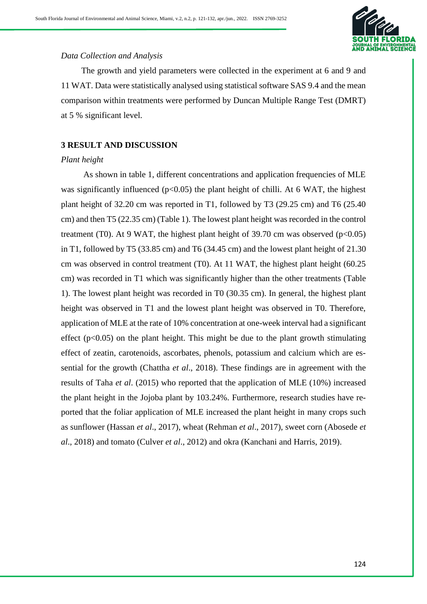

## *Data Collection and Analysis*

The growth and yield parameters were collected in the experiment at 6 and 9 and 11 WAT. Data were statistically analysed using statistical software SAS 9.4 and the mean comparison within treatments were performed by Duncan Multiple Range Test (DMRT) at 5 % significant level.

# **3 RESULT AND DISCUSSION**

## *Plant height*

As shown in table 1, different concentrations and application frequencies of MLE was significantly influenced ( $p<0.05$ ) the plant height of chilli. At 6 WAT, the highest plant height of 32.20 cm was reported in T1, followed by T3 (29.25 cm) and T6 (25.40 cm) and then T5 (22.35 cm) (Table 1). The lowest plant height was recorded in the control treatment (T0). At 9 WAT, the highest plant height of 39.70 cm was observed  $(p<0.05)$ in T1, followed by T5 (33.85 cm) and T6 (34.45 cm) and the lowest plant height of 21.30 cm was observed in control treatment (T0). At 11 WAT, the highest plant height (60.25 cm) was recorded in T1 which was significantly higher than the other treatments (Table 1). The lowest plant height was recorded in T0 (30.35 cm). In general, the highest plant height was observed in T1 and the lowest plant height was observed in T0. Therefore, application of MLE at the rate of 10% concentration at one-week interval had a significant effect ( $p<0.05$ ) on the plant height. This might be due to the plant growth stimulating effect of zeatin, carotenoids, ascorbates, phenols, potassium and calcium which are essential for the growth (Chattha *et al*., 2018). These findings are in agreement with the results of Taha *et al*. (2015) who reported that the application of MLE (10%) increased the plant height in the Jojoba plant by 103.24%. Furthermore, research studies have reported that the foliar application of MLE increased the plant height in many crops such as sunflower (Hassan *et al*., 2017), wheat (Rehman *et al*., 2017), sweet corn (Abosede *et al*., 2018) and tomato (Culver *et al*., 2012) and okra (Kanchani and Harris, 2019).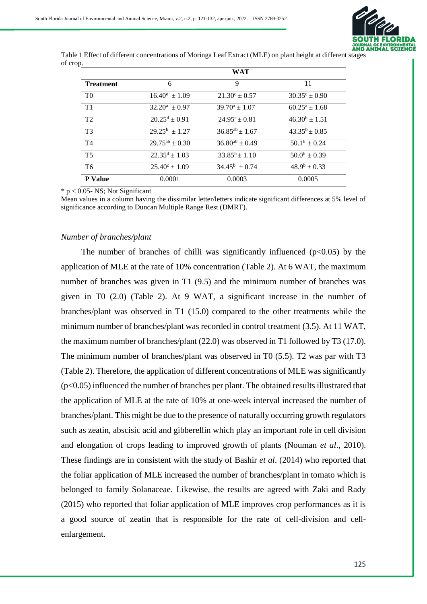

Table 1 Effect of different concentrations of Moringa Leaf Extract (MLE) on plant height at different stages of crop.

|                  |                             | <b>WAT</b>               |                          |
|------------------|-----------------------------|--------------------------|--------------------------|
| <b>Treatment</b> | 6                           | 9                        | 11                       |
| T <sub>0</sub>   | $16.40^e \pm 1.09$          | $21.30^{\circ} \pm 0.57$ | $30.35^{\circ} \pm 0.90$ |
| T1               | $32.20^a \pm 0.97$          | $39.70^a \pm 1.07$       | $60.25^a \pm 1.68$       |
| T <sub>2</sub>   | $20.25^d \pm 0.91$          | $24.95^{\circ}$ ± 0.81   | $46.30^b \pm 1.51$       |
| T <sub>3</sub>   | $\overline{29.25^b}$ ± 1.27 | $36.85^{ab} \pm 1.67$    | $43.35^b \pm 0.85$       |
| <b>T4</b>        | $29.75^{ab} \pm 0.30$       | $36.80^{ab} \pm 0.49$    | $50.1^b \pm 0.24$        |
| T <sub>5</sub>   | $22.35^d \pm 1.03$          | $33.85^b \pm 1.10$       | $50.0^b \pm 0.39$        |
| T6               | $25.40^{\circ} \pm 1.09$    | $34.45^b \pm 0.74$       | $48.9^b \pm 0.33$        |
| <b>P</b> Value   | 0.0001                      | 0.0003                   | 0.0005                   |

 $* p < 0.05$ - NS; Not Significant

Mean values in a column having the dissimilar letter/letters indicate significant differences at 5% level of significance according to Duncan Multiple Range Rest (DMRT).

#### *Number of branches/plant*

The number of branches of chilli was significantly influenced ( $p<0.05$ ) by the application of MLE at the rate of 10% concentration (Table 2). At 6 WAT, the maximum number of branches was given in T1 (9.5) and the minimum number of branches was given in T0 (2.0) (Table 2). At 9 WAT, a significant increase in the number of branches/plant was observed in T1 (15.0) compared to the other treatments while the minimum number of branches/plant was recorded in control treatment (3.5). At 11 WAT, the maximum number of branches/plant (22.0) was observed in T1 followed by T3 (17.0). The minimum number of branches/plant was observed in T0 (5.5). T2 was par with T3 (Table 2). Therefore, the application of different concentrations of MLE was significantly (p<0.05) influenced the number of branches per plant. The obtained results illustrated that the application of MLE at the rate of 10% at one-week interval increased the number of branches/plant. This might be due to the presence of naturally occurring growth regulators such as zeatin, abscisic acid and gibberellin which play an important role in cell division and elongation of crops leading to improved growth of plants (Nouman *et al*., 2010). These findings are in consistent with the study of Bashir *et al*. (2014) who reported that the foliar application of MLE increased the number of branches/plant in tomato which is belonged to family Solanaceae. Likewise, the results are agreed with Zaki and Rady (2015) who reported that foliar application of MLE improves crop performances as it is a good source of zeatin that is responsible for the rate of cell-division and cellenlargement.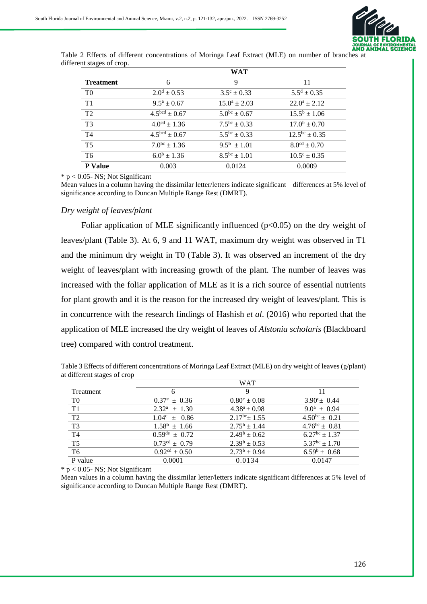

| Table 2 Effects of different concentrations of Moringa Leaf Extract (MLE) on number of branches at |  |  |  |  |  |  |
|----------------------------------------------------------------------------------------------------|--|--|--|--|--|--|
| different stages of crop.                                                                          |  |  |  |  |  |  |

|                  |                            | <b>WAT</b>             |                            |
|------------------|----------------------------|------------------------|----------------------------|
| <b>Treatment</b> | 6                          | 9                      | 11                         |
| T <sub>0</sub>   | $2.0^d \pm 0.53$           | $3.5^{\circ} \pm 0.33$ | $5.5^d \pm 0.35$           |
| T1               | $9.5^a \pm 0.67$           | $15.0^a \pm 2.03$      | $22.0^a \pm 2.12$          |
| T2               | $4.5bcd \pm 0.67$          | $5.0^{bc} \pm 0.67$    | $15.5^b \pm 1.06$          |
| T <sub>3</sub>   | $4.0^{\text{cd}} \pm 1.36$ | $7.5^{bc} \pm 0.33$    | $17.0^b \pm 0.70$          |
| T <sub>4</sub>   | $4.5bcd \pm 0.67$          | $5.5^{bc} \pm 0.33$    | $12.5^{bc} \pm 0.35$       |
| <b>T5</b>        | $7.0^{bc} \pm 1.36$        | $9.5^{\rm b} \pm 1.01$ | $8.0^{\text{cd}} \pm 0.70$ |
| T <sub>6</sub>   | $6.0^{\rm b} \pm 1.36$     | $8.5^{bc} \pm 1.01$    | $10.5^{\circ} \pm 0.35$    |
| <b>P</b> Value   | 0.003                      | 0.0124                 | 0.0009                     |

 $* p < 0.05$ - NS; Not Significant

Mean values in a column having the dissimilar letter/letters indicate significant differences at 5% level of significance according to Duncan Multiple Range Rest (DMRT).

#### *Dry weight of leaves/plant*

Foliar application of MLE significantly influenced  $(p<0.05)$  on the dry weight of leaves/plant (Table 3). At 6, 9 and 11 WAT, maximum dry weight was observed in T1 and the minimum dry weight in T0 (Table 3). It was observed an increment of the dry weight of leaves/plant with increasing growth of the plant. The number of leaves was increased with the foliar application of MLE as it is a rich source of essential nutrients for plant growth and it is the reason for the increased dry weight of leaves/plant. This is in concurrence with the research findings of Hashish *et al*. (2016) who reported that the application of MLE increased the dry weight of leaves of *Alstonia scholaris* (Blackboard tree) compared with control treatment.

Table 3 Effects of different concentrations of Moringa Leaf Extract (MLE) on dry weight of leaves (g/plant) at different stages of crop

|                        | WAT                         |                         |                       |  |
|------------------------|-----------------------------|-------------------------|-----------------------|--|
| Treatment              |                             | 9                       |                       |  |
| T0                     | $0.37^e \pm 0.36$           | $0.80^{\circ} \pm 0.08$ | $3.90^{\circ}$ + 0.44 |  |
| T1                     | $2.32^a \pm 1.30$           | $4.38^a \pm 0.98$       | $9.0^a \pm 0.94$      |  |
| T <sub>2</sub>         | $1.04^c \pm 0.86$           | $2.17^{bc}$ ± 1.55      | $4.50^{bc} \pm 0.21$  |  |
| T <sub>3</sub>         | $1.58^b \pm 1.66$           | $2.75^{\rm b} \pm 1.44$ | $4.76^{bc} \pm 0.81$  |  |
| $\overline{T4}$        | $0.59^{\text{de}} \pm 0.72$ | $2.49^b \pm 0.62$       | $6.27^{bc} \pm 1.37$  |  |
| $\overline{\text{T5}}$ | $0.73^{\text{cd}} \pm 0.79$ | $2.39^b \pm 0.53$       | $5.37^{bc} \pm 1.70$  |  |
| T <sub>6</sub>         | $0.92cd \pm 0.50$           | $2.73^b \pm 0.94$       | $6.59^b \pm 0.68$     |  |
| P value                | 0.0001                      | 0.0134                  | 0.0147                |  |

 $*$  p < 0.05- NS; Not Significant

Mean values in a column having the dissimilar letter/letters indicate significant differences at 5% level of significance according to Duncan Multiple Range Rest (DMRT).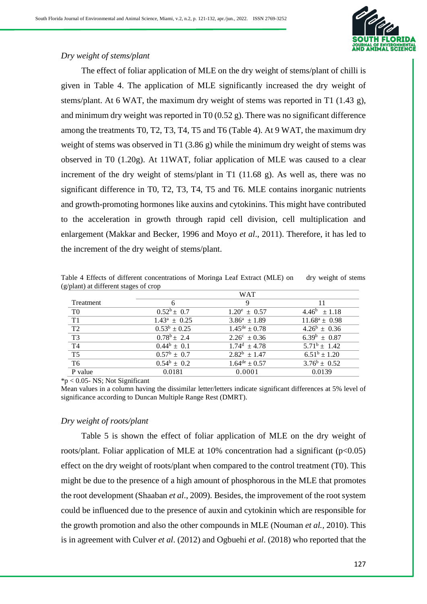

# *Dry weight of stems/plant*

The effect of foliar application of MLE on the dry weight of stems/plant of chilli is given in Table 4. The application of MLE significantly increased the dry weight of stems/plant. At 6 WAT, the maximum dry weight of stems was reported in T1 (1.43 g), and minimum dry weight was reported in T0  $(0.52 \text{ g})$ . There was no significant difference among the treatments T0, T2, T3, T4, T5 and T6 (Table 4). At 9 WAT, the maximum dry weight of stems was observed in T1 (3.86 g) while the minimum dry weight of stems was observed in T0 (1.20g). At 11WAT, foliar application of MLE was caused to a clear increment of the dry weight of stems/plant in T1 (11.68 g). As well as, there was no significant difference in T0, T2, T3, T4, T5 and T6. MLE contains inorganic nutrients and growth-promoting hormones like auxins and cytokinins. This might have contributed to the acceleration in growth through rapid cell division, cell multiplication and enlargement (Makkar and Becker, 1996 and Moyo *et al*., 2011). Therefore, it has led to the increment of the dry weight of stems/plant.

| Table 4 Effects of different concentrations of Moringa Leaf Extract (MLE) on dry weight of stems |  |
|--------------------------------------------------------------------------------------------------|--|
| (g/plant) at different stages of crop                                                            |  |

|                 | <b>WAT</b>           |                             |                    |
|-----------------|----------------------|-----------------------------|--------------------|
| Treatment       |                      | 9                           |                    |
| T0              | $0.52^b \pm 0.7$     | $1.20^e \pm 0.57$           | $4.46^b \pm 1.18$  |
| T1              | $1.43^a \pm 0.25$    | $3.86^a \pm 1.89$           | $11.68^a \pm 0.98$ |
| T <sub>2</sub>  | $0.53^b \pm 0.25$    | $1.45^{\text{de}} \pm 0.78$ | $4.26^b \pm 0.36$  |
| $\overline{T3}$ | $0.78^b \pm 2.4$     | $2.26^{\circ} \pm 0.36$     | $6.39^b \pm 0.87$  |
| T <sub>4</sub>  | $0.44^b \pm 0.1$     | $1.74^d \pm 4.78$           | $5.71^b \pm 1.42$  |
| T <sub>5</sub>  | $0.57^{\rm b}$ + 0.7 | $2.82^b \pm 1.47$           | $6.51^b \pm 1.20$  |
| T <sub>6</sub>  | $0.54^b \pm 0.2$     | $1.64^{\text{de}} \pm 0.57$ | $3.76^b \pm 0.52$  |
| P value         | 0.0181               | 0.0001                      | 0.0139             |

 $*_{p}$  < 0.05- NS; Not Significant

Mean values in a column having the dissimilar letter/letters indicate significant differences at 5% level of significance according to Duncan Multiple Range Rest (DMRT).

# *Dry weight of roots/plant*

Table 5 is shown the effect of foliar application of MLE on the dry weight of roots/plant. Foliar application of MLE at 10% concentration had a significant  $(p<0.05)$ effect on the dry weight of roots/plant when compared to the control treatment (T0). This might be due to the presence of a high amount of phosphorous in the MLE that promotes the root development (Shaaban *et al*., 2009). Besides, the improvement of the root system could be influenced due to the presence of auxin and cytokinin which are responsible for the growth promotion and also the other compounds in MLE (Nouman *et al.,* 2010). This is in agreement with Culver *et al*. (2012) and Ogbuehi *et al*. (2018) who reported that the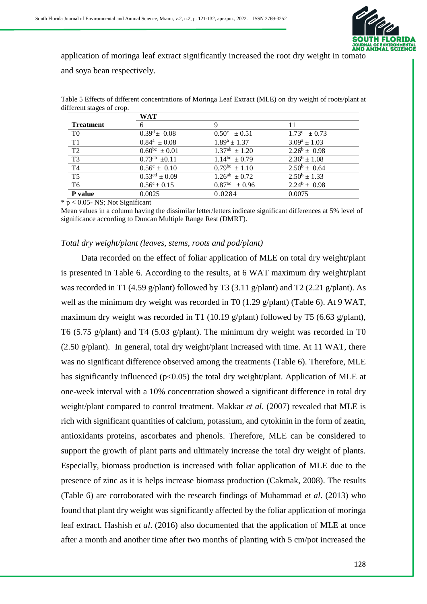

application of moringa leaf extract significantly increased the root dry weight in tomato and soya bean respectively.

|                        | WAT                         |                                 |                   |
|------------------------|-----------------------------|---------------------------------|-------------------|
| <b>Treatment</b>       |                             | 9                               | 11                |
| T0                     | $0.39^d \pm 0.08$           | $0.50^{\circ} \pm 0.51$         | $1.73^c \pm 0.73$ |
| T1                     | $0.84^a \pm 0.08$           | $1.89^a \pm 1.37$               | $3.09^a \pm 1.03$ |
| T <sub>2</sub>         | $0.60^{bc} \pm 0.01$        | $\overline{1.37}^{ab} \pm 1.20$ | $2.26^b \pm 0.98$ |
| T <sub>3</sub>         | $0.73^{ab} \pm 0.11$        | $1.14^{bc} \pm 0.79$            | $2.36^b \pm 1.08$ |
| T <sub>4</sub>         | $0.56^{\circ} \pm 0.10$     | $0.79^{bc} \pm 1.10$            | $2.50^b \pm 0.64$ |
| $\overline{\text{T5}}$ | $0.53^{\text{cd}} \pm 0.09$ | $1.26^{ab} \pm 0.72$            | $2.50^b \pm 1.33$ |
| T <sub>6</sub>         | $0.56^{\circ} \pm 0.15$     | $0.87^{bc} \pm 0.96$            | $2.24^b \pm 0.98$ |
| P value                | 0.0025                      | 0.0284                          | 0.0075            |

Table 5 Effects of different concentrations of Moringa Leaf Extract (MLE) on dry weight of roots/plant at different stages of crop.

 $* p < 0.05$ - NS; Not Significant

Mean values in a column having the dissimilar letter/letters indicate significant differences at 5% level of significance according to Duncan Multiple Range Rest (DMRT).

#### *Total dry weight/plant (leaves, stems, roots and pod/plant)*

Data recorded on the effect of foliar application of MLE on total dry weight/plant is presented in Table 6. According to the results, at 6 WAT maximum dry weight/plant was recorded in T1 (4.59 g/plant) followed by T3 (3.11 g/plant) and T2 (2.21 g/plant). As well as the minimum dry weight was recorded in T0 (1.29 g/plant) (Table 6). At 9 WAT, maximum dry weight was recorded in T1 (10.19 g/plant) followed by T5 (6.63 g/plant), T6 (5.75 g/plant) and T4 (5.03 g/plant). The minimum dry weight was recorded in T0 (2.50 g/plant). In general, total dry weight/plant increased with time. At 11 WAT, there was no significant difference observed among the treatments (Table 6). Therefore, MLE has significantly influenced ( $p<0.05$ ) the total dry weight/plant. Application of MLE at one-week interval with a 10% concentration showed a significant difference in total dry weight/plant compared to control treatment. Makkar *et al.* (2007) revealed that MLE is rich with significant quantities of calcium, potassium, and cytokinin in the form of zeatin, antioxidants proteins, ascorbates and phenols. Therefore, MLE can be considered to support the growth of plant parts and ultimately increase the total dry weight of plants. Especially, biomass production is increased with foliar application of MLE due to the presence of zinc as it is helps increase biomass production (Cakmak, 2008). The results (Table 6) are corroborated with the research findings of Muhammad *et al*. (2013) who found that plant dry weight was significantly affected by the foliar application of moringa leaf extract. Hashish *et al*. (2016) also documented that the application of MLE at once after a month and another time after two months of planting with 5 cm/pot increased the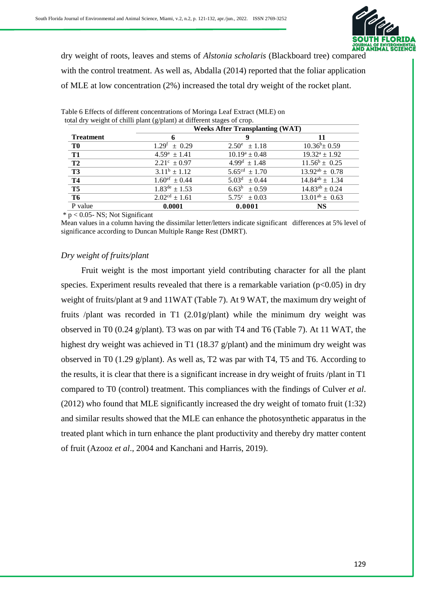

dry weight of roots, leaves and stems of *Alstonia scholaris* (Blackboard tree) compared with the control treatment. As well as, Abdalla (2014) reported that the foliar application of MLE at low concentration (2%) increased the total dry weight of the rocket plant.

|                  | <b>Weeks After Transplanting (WAT)</b> |                         |                       |  |
|------------------|----------------------------------------|-------------------------|-----------------------|--|
| <b>Treatment</b> |                                        | g                       | 11                    |  |
| <b>TO</b>        | $1.29^{\mathrm{f}} \pm 0.29$           | $2.50^e \pm 1.18$       | $10.36^b \pm 0.59$    |  |
| T <sub>1</sub>   | $4.59^a \pm 1.41$                      | $10.19^a \pm 0.48$      | $19.32^a \pm 1.92$    |  |
| T <sub>2</sub>   | $2.21^{\circ} \pm 0.97$                | $4.99^{\rm d} \pm 1.48$ | $11.56^b \pm 0.25$    |  |
| T <sub>3</sub>   | $3.11^b \pm 1.12$                      | $5.65^{cd} \pm 1.70$    | $13.92^{ab} \pm 0.78$ |  |
| <b>T4</b>        | $1.60^{\text{ef}} \pm 0.44$            | $5.03^d \pm 0.44$       | $14.84^{ab} \pm 1.34$ |  |
| T <sub>5</sub>   | $\overline{1.83^{\text{de}}}$ ± 1.53   | $6.63^b \pm 0.59$       | $14.83^{ab} \pm 0.24$ |  |
| T <sub>6</sub>   | $2.02cd \pm 1.61$                      | $5.75^{\circ} \pm 0.03$ | $13.01^{ab} \pm 0.63$ |  |
| P value          | 0.0001                                 | 0.0001                  | <b>NS</b>             |  |

Table 6 Effects of different concentrations of Moringa Leaf Extract (MLE) on total dry weight of chilli plant (g/plant) at different stages of crop.

 $* p < 0.05$ - NS; Not Significant

Mean values in a column having the dissimilar letter/letters indicate significant differences at 5% level of significance according to Duncan Multiple Range Rest (DMRT).

### *Dry weight of fruits/plant*

Fruit weight is the most important yield contributing character for all the plant species. Experiment results revealed that there is a remarkable variation ( $p<0.05$ ) in dry weight of fruits/plant at 9 and 11WAT (Table 7). At 9 WAT, the maximum dry weight of fruits /plant was recorded in T1 (2.01g/plant) while the minimum dry weight was observed in T0 (0.24 g/plant). T3 was on par with T4 and T6 (Table 7). At 11 WAT, the highest dry weight was achieved in T1 (18.37 g/plant) and the minimum dry weight was observed in T0 (1.29 g/plant). As well as, T2 was par with T4, T5 and T6. According to the results, it is clear that there is a significant increase in dry weight of fruits /plant in T1 compared to T0 (control) treatment. This compliances with the findings of Culver *et al*. (2012) who found that MLE significantly increased the dry weight of tomato fruit (1:32) and similar results showed that the MLE can enhance the photosynthetic apparatus in the treated plant which in turn enhance the plant productivity and thereby dry matter content of fruit (Azooz *et al*., 2004 and Kanchani and Harris, 2019).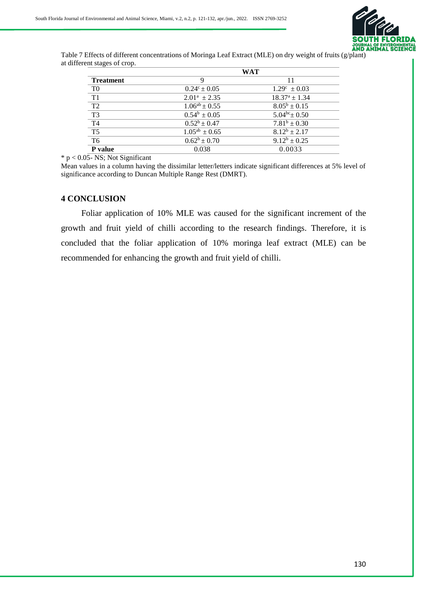

Table 7 Effects of different concentrations of Moringa Leaf Extract (MLE) on dry weight of fruits (g/plant) at different stages of crop.

|                  |                         | WAT                          |
|------------------|-------------------------|------------------------------|
| <b>Treatment</b> | 9                       | 11                           |
| T <sub>0</sub>   | $0.24^{\circ} \pm 0.05$ | $1.29^{\circ} \pm 0.03$      |
| T1               | $2.01^a \pm 2.35$       | $18.37^{\rm a} \pm 1.34$     |
| T <sub>2</sub>   | $1.06^{ab} \pm 0.55$    | $8.05^b \pm 0.15$            |
| T <sub>3</sub>   | $0.54^b \pm 0.05$       | $5.04^{bc}$ ± 0.50           |
| T <sub>4</sub>   | $0.52^b \pm 0.47$       | $\overline{7.81^b} \pm 0.30$ |
| T <sub>5</sub>   | $1.05^{ab} \pm 0.65$    | $8.12^b \pm 2.17$            |
| T <sub>6</sub>   | $0.62^b \pm 0.70$       | $9.12^b \pm 0.25$            |
| P value          | 0.038                   | 0.0033                       |

 $* p < 0.05$ - NS; Not Significant

Mean values in a column having the dissimilar letter/letters indicate significant differences at 5% level of significance according to Duncan Multiple Range Rest (DMRT).

#### **4 CONCLUSION**

Foliar application of 10% MLE was caused for the significant increment of the growth and fruit yield of chilli according to the research findings. Therefore, it is concluded that the foliar application of 10% moringa leaf extract (MLE) can be recommended for enhancing the growth and fruit yield of chilli.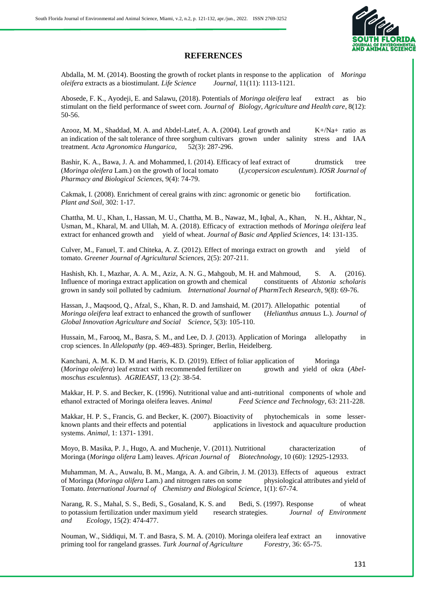

#### **REFERENCES**

Abdalla, M. M. (2014). Boosting the growth of rocket plants in response to the application of *Moringa oleifera* extracts as a biostimulant. *Life Science Journal*, 11(11): 1113-1121.

Abosede, F. K., Ayodeji, E. and Salawu, (2018). Potentials of *Moringa oleifera* leaf extract as bio stimulant on the field performance of sweet corn. *Journal of Biology, Agriculture and Health care*, 8(12): 50-56.

Azooz, M. M., Shaddad, M. A. and Abdel-Latef, A. A. (2004). Leaf growth and  $K+\sqrt{Na}+$  ratio as an indication of the salt tolerance of three sorghum cultivars grown under salinity stress and IAA treatment. *Acta Agronomica Hungarica*, 52(3): 287-296.

Bashir, K. A., Bawa, J. A. and Mohammed, I. (2014). Efficacy of leaf extract of drumstick tree (*Moringa oleifera* Lam.) on the growth of local tomato (*Lycopersicon esculentum*). *IOSR Journal of Pharmacy and Biological Sciences*, 9(4): 74-79.

Cakmak, I. (2008). Enrichment of cereal grains with zinc: agronomic or genetic bio fortification. *Plant and Soil*, 302: 1-17.

Chattha, M. U., Khan, I., Hassan, M. U., Chattha, M. B., Nawaz, M., Iqbal, A., Khan, N. H., Akhtar, N., Usman, M., Kharal, M. and Ullah, M. A. (2018). Efficacy of extraction methods of *Moringa oleifera* leaf extract for enhanced growth and yield of wheat. *Journal of Basic and Applied Sciences*, 14: 131-135.

Culver, M., Fanuel, T. and Chiteka, A. Z. (2012). Effect of moringa extract on growth and yield of tomato. *Greener Journal of Agricultural Sciences*, 2(5): 207-211.

Hashish, Kh. I., Mazhar, A. A. M., Aziz, A. N. G., Mahgoub, M. H. and Mahmoud, S. A. (2016). Influence of moringa extract application on growth and chemical constituents of *Alstonia scholaris* grown in sandy soil polluted by cadmium. *International Journal of PharmTech Research*, 9(8): 69-76.

Hassan, J., Maqsood, Q., Afzal, S., Khan, R. D. and Jamshaid, M. (2017). Allelopathic potential of *Moringa oleifera* leaf extract to enhanced the growth of sunflower (*Helianthus annuus* L.). *Journal of Global Innovation Agriculture and Social Science*, 5(3): 105-110.

Hussain, M., Farooq, M., Basra, S. M., and Lee, D. J. (2013). Application of Moringa allelopathy in crop sciences. In *Allelopathy* (pp. 469-483). Springer, Berlin, Heidelberg.

Kanchani, A. M. K. D. M and Harris, K. D. (2019). Effect of foliar application of Moringa (*Moringa oleifera*) leaf extract with recommended fertilizer on growth and yield of okra (*Abelmoschus esculentus*). *AGRIEAST,* 13 (2): 38-54.

Makkar, H. P. S. and Becker, K. (1996). Nutritional value and anti-nutritional components of whole and ethanol extracted of Moringa oleifera leaves. *Animal Feed Science and Technology*, 63: 211-228.

Makkar, H. P. S., Francis, G. and Becker, K. (2007). Bioactivity of phytochemicals in some lesserknown plants and their effects and potential applications in livestock and aquaculture production systems. *Animal*, 1: 1371- 1391.

Moyo, B. Masika, P. J., Hugo, A. and Muchenje, V. (2011). Nutritional characterization of Moringa (*Moringa olifera* Lam) leaves. *African Journal of Biotechnology*, 10 (60): 12925-12933.

Muhamman, M. A., Auwalu, B. M., Manga, A. A. and Gibrin, J. M. (2013). Effects of aqueous extract of Moringa (*Moringa olifera* Lam.) and nitrogen rates on some physiological attributes and yield of Tomato. *International Journal of Chemistry and Biological Science*, 1(1): 67-74.

Narang, R. S., Mahal, S. S., Bedi, S., Gosaland, K. S. and Bedi, S. (1997). Response of wheat to potassium fertilization under maximum yield research strategies. *Journal of Environment and Ecology,* 15(2): 474-477.

Nouman, W., Siddiqui, M. T. and Basra, S. M. A. (2010). Moringa oleifera leaf extract an innovative priming tool for rangeland grasses. *Turk Journal of Agriculture Forestry*, 36: 65-75.